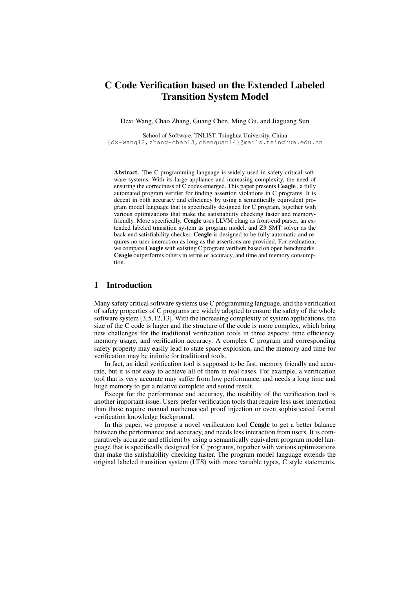# C Code Verification based on the Extended Labeled Transition System Model

Dexi Wang, Chao Zhang, Guang Chen, Ming Gu, and Jiaguang Sun

School of Software, TNLIST, Tsinghua University, China

{dx-wang12,zhang-chao13,chenguan14}@mails.tsinghua.edu.cn

Abstract. The C programming language is widely used in safety-critical software systems. With its large appliance and increasing complexity, the need of ensuring the correctness of C codes emerged. This paper presents Ceagle , a fully automated program verifier for finding assertion violations in C programs. It is decent in both accuracy and efficiency by using a semantically equivalent program model language that is specifically designed for C program, together with various optimizations that make the satisfiability checking faster and memoryfriendly. More specifically, Ceagle uses LLVM clang as front-end parser, an extended labeled transition system as program model, and Z3 SMT solver as the back-end satisfiability checker. Ceagle is designed to be fully automatic and requires no user interaction as long as the assertions are provided. For evaluation, we compare Ceagle with existing C program verifiers based on open benchmarks. Ceagle outperforms others in terms of accuracy, and time and memory consumption.

## 1 Introduction

Many safety critical software systems use C programming language, and the verification of safety properties of C programs are widely adopted to ensure the safety of the whole software system [3,5,12,13]. With the increasing complexity of system applications, the size of the C code is larger and the structure of the code is more complex, which bring new challenges for the traditional verification tools in three aspects: time efficiency, memory usage, and verification accuracy. A complex C program and corresponding safety property may easily lead to state space explosion, and the memory and time for verification may be infinite for traditional tools.

In fact, an ideal verification tool is supposed to be fast, memory friendly and accurate, but it is not easy to achieve all of them in real cases. For example, a verification tool that is very accurate may suffer from low performance, and needs a long time and huge memory to get a relative complete and sound result.

Except for the performance and accuracy, the usability of the verification tool is another important issue. Users prefer verification tools that require less user interaction than those require manual mathematical proof injection or even sophisticated formal verification knowledge background.

In this paper, we propose a novel verification tool Ceagle to get a better balance between the performance and accuracy, and needs less interaction from users. It is comparatively accurate and efficient by using a semantically equivalent program model language that is specifically designed for C programs, together with various optimizations that make the satisfiability checking faster. The program model language extends the original labeled transition system (LTS) with more variable types, C style statements,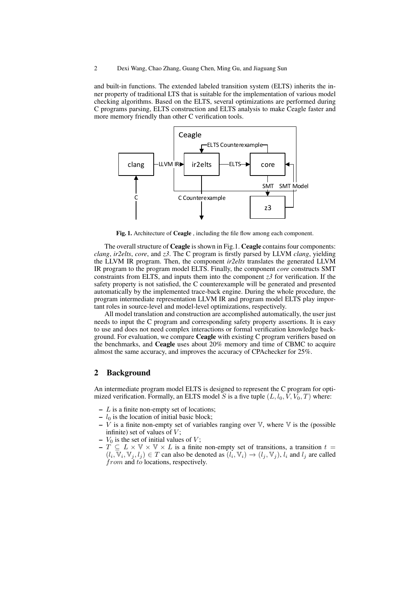and built-in functions. The extended labeled transition system (ELTS) inherits the inner property of traditional LTS that is suitable for the implementation of various model checking algorithms. Based on the ELTS, several optimizations are performed during C programs parsing, ELTS construction and ELTS analysis to make Ceagle faster and more memory friendly than other C verification tools.



Fig. 1. Architecture of Ceagle , including the file flow among each component.

The overall structure of Ceagle is shown in Fig.1. Ceagle contains four components: *clang*, *ir2elts*, *core*, and *z3*. The C program is firstly parsed by LLVM *clang*, yielding the LLVM IR program. Then, the component *ir2elts* translates the generated LLVM IR program to the program model ELTS. Finally, the component *core* constructs SMT constraints from ELTS, and inputs them into the component *z3* for verification. If the safety property is not satisfied, the C counterexample will be generated and presented automatically by the implemented trace-back engine. During the whole procedure, the program intermediate representation LLVM IR and program model ELTS play important roles in source-level and model-level optimizations, respectively.

All model translation and construction are accomplished automatically, the user just needs to input the C program and corresponding safety property assertions. It is easy to use and does not need complex interactions or formal verification knowledge background. For evaluation, we compare Ceagle with existing C program verifiers based on the benchmarks, and Ceagle uses about 20% memory and time of CBMC to acquire almost the same accuracy, and improves the accuracy of CPAchecker for 25%.

## 2 Background

An intermediate program model ELTS is designed to represent the C program for optimized verification. Formally, an ELTS model S is a five tuple  $(L, l_0, V, V_0, T)$  where:

- $L$  is a finite non-empty set of locations;
- $l_0$  is the location of initial basic block;
- $\overline{V}$  is a finite non-empty set of variables ranging over  $\mathbb {V}$ , where  $\mathbb {V}$  is the (possible infinite) set of values of  $V$ ;
- $V_0$  is the set of initial values of V;
- $T \subseteq L \times V \times V \times L$  is a finite non-empty set of transitions, a transition  $t =$  $(l_i, \overline{V}_i, V_j, l_j) \in T$  can also be denoted as  $(l_i, V_i) \to (l_j, V_j)$ ,  $l_i$  and  $l_j$  are called from and to locations, respectively.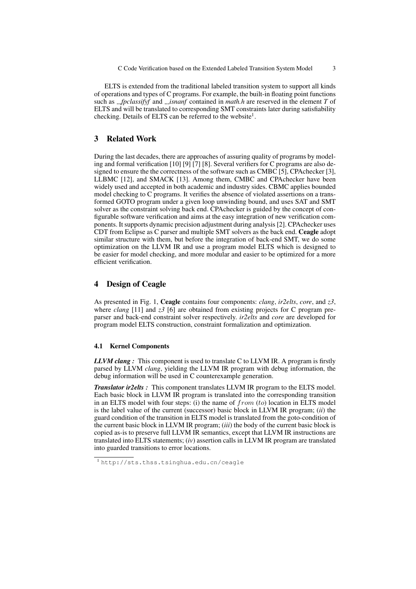ELTS is extended from the traditional labeled transition system to support all kinds of operations and types of C programs. For example, the built-in floating point functions such as *fpclassifyf* and *isnanf* contained in *math.h* are reserved in the element *T* of ELTS and will be translated to corresponding SMT constraints later during satisfiability checking. Details of ELTS can be referred to the website<sup>1</sup>.

## 3 Related Work

During the last decades, there are approaches of assuring quality of programs by modeling and formal verification [10] [9] [7] [8]. Several verifiers for C programs are also designed to ensure the the correctness of the software such as CMBC [5], CPAchecker [3], LLBMC [12], and SMACK [13]. Among them, CMBC and CPAchecker have been widely used and accepted in both academic and industry sides. CBMC applies bounded model checking to C programs. It verifies the absence of violated assertions on a transformed GOTO program under a given loop unwinding bound, and uses SAT and SMT solver as the constraint solving back end. CPAchecker is guided by the concept of configurable software verification and aims at the easy integration of new verification components. It supports dynamic precision adjustment during analysis [2]. CPAchecker uses CDT from Eclipse as C parser and multiple SMT solvers as the back end. Ceagle adopt similar structure with them, but before the integration of back-end SMT, we do some optimization on the LLVM IR and use a program model ELTS which is designed to be easier for model checking, and more modular and easier to be optimized for a more efficient verification.

## 4 Design of Ceagle

As presented in Fig. 1, Ceagle contains four components: *clang*, *ir2elts*, *core*, and *z3*, where *clang* [11] and *z*3 [6] are obtained from existing projects for C program preparser and back-end constraint solver respectively. *ir2elts* and *core* are developed for program model ELTS construction, constraint formalization and optimization.

#### 4.1 Kernel Components

*LLVM clang :* This component is used to translate C to LLVM IR. A program is firstly parsed by LLVM *clang*, yielding the LLVM IR program with debug information, the debug information will be used in C counterexample generation.

*Translator ir2elts :* This component translates LLVM IR program to the ELTS model. Each basic block in LLVM IR program is translated into the corresponding transition in an ELTS model with four steps: (i) the name of  $from (to)$  location in ELTS model is the label value of the current (successor) basic block in LLVM IR program; (*ii*) the guard condition of the transition in ELTS model is translated from the goto-condition of the current basic block in LLVM IR program; (*iii*) the body of the current basic block is copied as-is to preserve full LLVM IR semantics, except that LLVM IR instructions are translated into ELTS statements; (*iv*) assertion calls in LLVM IR program are translated into guarded transitions to error locations.

<sup>1</sup> http://sts.thss.tsinghua.edu.cn/ceagle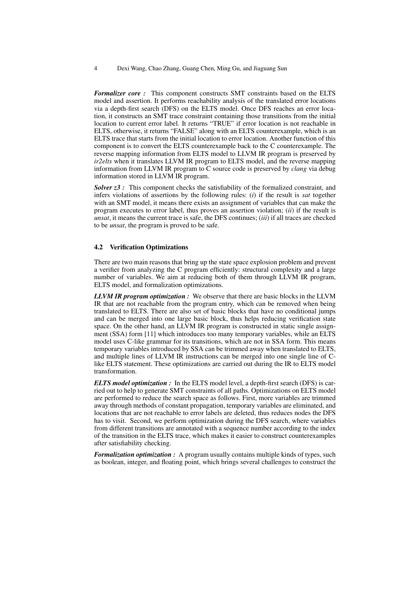*Formalizer core :* This component constructs SMT constraints based on the ELTS model and assertion. It performs reachability analysis of the translated error locations via a depth-first search (DFS) on the ELTS model. Once DFS reaches an error location, it constructs an SMT trace constraint containing those transitions from the initial location to current error label. It returns "TRUE" if error location is not reachable in ELTS, otherwise, it returns "FALSE" along with an ELTS counterexample, which is an ELTS trace that starts from the initial location to error location. Another function of this component is to convert the ELTS counterexample back to the C counterexample. The reverse mapping information from ELTS model to LLVM IR program is preserved by *ir2elts* when it translates LLVM IR program to ELTS model, and the reverse mapping information from LLVM IR program to C source code is preserved by *clang* via debug information stored in LLVM IR program.

*Solver*  $z3$ : This component checks the satisfiability of the formalized constraint, and infers violations of assertions by the following rules: (*i*) if the result is *sat* together with an SMT model, it means there exists an assignment of variables that can make the program executes to error label, thus proves an assertion violation; (*ii*) if the result is *unsat*, it means the current trace is safe, the DFS continues; (*iii*) if all traces are checked to be *unsat*, the program is proved to be safe.

#### 4.2 Verification Optimizations

There are two main reasons that bring up the state space explosion problem and prevent a verifier from analyzing the C program efficiently: structural complexity and a large number of variables. We aim at reducing both of them through LLVM IR program, ELTS model, and formalization optimizations.

*LLVM IR program optimization :* We observe that there are basic blocks in the LLVM IR that are not reachable from the program entry, which can be removed when being translated to ELTS. There are also set of basic blocks that have no conditional jumps and can be merged into one large basic block, thus helps reducing verification state space. On the other hand, an LLVM IR program is constructed in static single assignment (SSA) form [11] which introduces too many temporary variables, while an ELTS model uses C-like grammar for its transitions, which are not in SSA form. This means temporary variables introduced by SSA can be trimmed away when translated to ELTS, and multiple lines of LLVM IR instructions can be merged into one single line of Clike ELTS statement. These optimizations are carried out during the IR to ELTS model transformation.

*ELTS model optimization :* In the ELTS model level, a depth-first search (DFS) is carried out to help to generate SMT constraints of all paths. Optimizations on ELTS model are performed to reduce the search space as follows. First, more variables are trimmed away through methods of constant propagation, temporary variables are eliminated, and locations that are not reachable to error labels are deleted, thus reduces nodes the DFS has to visit. Second, we perform optimization during the DFS search, where variables from different transitions are annotated with a sequence number according to the index of the transition in the ELTS trace, which makes it easier to construct counterexamples after satisfiability checking.

*Formalization optimization :* A program usually contains multiple kinds of types, such as boolean, integer, and floating point, which brings several challenges to construct the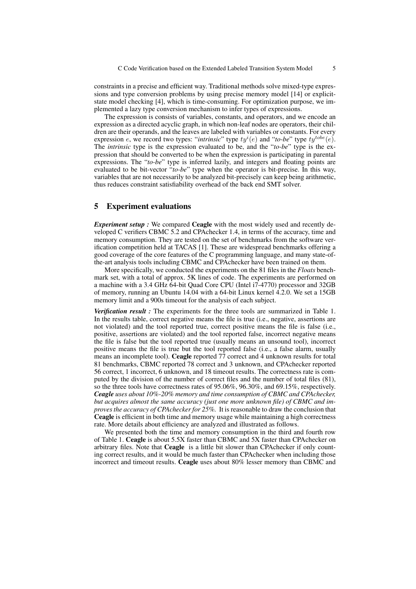constraints in a precise and efficient way. Traditional methods solve mixed-type expressions and type conversion problems by using precise memory model [14] or explicitstate model checking [4], which is time-consuming. For optimization purpose, we implemented a lazy type conversion mechanism to infer types of expressions.

The expression is consists of variables, constants, and operators, and we encode an expression as a directed acyclic graph, in which non-leaf nodes are operators, their children are their operands, and the leaves are labeled with variables or constants. For every expression *e*, we record two types: "*intrinsic*" type  $ty^{i}(e)$  and "*to-be*" type  $ty^{tobe}(e)$ . The *intrinsic* type is the expression evaluated to be, and the "*to-be*" type is the expression that should be converted to be when the expression is participating in parental expressions. The "*to-be*" type is inferred lazily, and integers and floating points are evaluated to be bit-vector "*to-be*" type when the operator is bit-precise. In this way, variables that are not necessarily to be analyzed bit-precisely can keep being arithmetic, thus reduces constraint satisfiability overhead of the back end SMT solver.

## 5 Experiment evaluations

*Experiment setup :* We compared Ceagle with the most widely used and recently developed C verifiers CBMC 5.2 and CPAchecker 1.4, in terms of the accuracy, time and memory consumption. They are tested on the set of benchmarks from the software verification competition held at TACAS [1]. These are widespread benchmarks offering a good coverage of the core features of the C programming language, and many state-ofthe-art analysis tools including CBMC and CPAchecker have been trained on them.

More specifically, we conducted the experiments on the 81 files in the *Floats* benchmark set, with a total of approx. 5K lines of code. The experiments are performed on a machine with a 3.4 GHz 64-bit Quad Core CPU (Intel i7-4770) processor and 32GB of memory, running an Ubuntu 14.04 with a 64-bit Linux kernel 4.2.0. We set a 15GB memory limit and a 900s timeout for the analysis of each subject.

*Verification result :* The experiments for the three tools are summarized in Table 1. In the results table, correct negative means the file is true (i.e., negative, assertions are not violated) and the tool reported true, correct positive means the file is false (i.e., positive, assertions are violated) and the tool reported false, incorrect negative means the file is false but the tool reported true (usually means an unsound tool), incorrect positive means the file is true but the tool reported false (i.e., a false alarm, usually means an incomplete tool). Ceagle reported 77 correct and 4 unknown results for total 81 benchmarks, CBMC reported 78 correct and 3 unknown, and CPAchecker reported 56 correct, 1 incorrect, 6 unknown, and 18 timeout results. The correctness rate is computed by the division of the number of correct files and the number of total files (81), so the three tools have correctness rates of 95.06%, 96.30%, and 69.15%, respectively. *Ceagle uses about 10%-20% memory and time consumption of CBMC and CPAchecker, but acquires almost the same accuracy (just one more unknown file) of CBMC and improves the accuracy of CPAchecker for 25%.* It is reasonable to draw the conclusion that Ceagle is efficient in both time and memory usage while maintaining a high correctness rate. More details about efficiency are analyzed and illustrated as follows.

We presented both the time and memory consumption in the third and fourth row of Table 1. Ceagle is about 5.5X faster than CBMC and 5X faster than CPAchecker on arbitrary files. Note that Ceagle is a little bit slower than CPAchecker if only counting correct results, and it would be much faster than CPAchecker when including those incorrect and timeout results. Ceagle uses about 80% lesser memory than CBMC and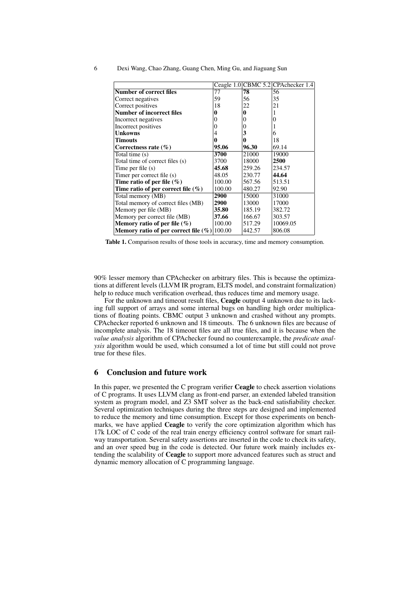|  |  |  |  | Dexi Wang, Chao Zhang, Guang Chen, Ming Gu, and Jiaguang Sun |  |
|--|--|--|--|--------------------------------------------------------------|--|
|  |  |  |  |                                                              |  |

|                                                |        |          | Ceagle 1.0 CBMC 5.2 CPA checker 1.4 |
|------------------------------------------------|--------|----------|-------------------------------------|
| <b>Number of correct files</b>                 | 77     | 78       | 56                                  |
| Correct negatives                              | 59     | 56       | 35                                  |
| Correct positives                              | 18     | 22       | 21                                  |
| <b>Number of incorrect files</b>               | 0      | 0        |                                     |
| Incorrect negatives                            | 0      | $\theta$ | 0                                   |
| Incorrect positives                            | 0      | 0        |                                     |
| <b>Unkowns</b>                                 | 4      | 3        | 6                                   |
| <b>Timouts</b>                                 | 0      | 0        | 18                                  |
| Correctness rate $(\% )$                       | 95.06  | 96.30    | 69.14                               |
| Total time (s)                                 | 3700   | 21000    | 19000                               |
| Total time of correct files (s)                | 3700   | 18000    | 2500                                |
| Time per file (s)                              | 45.68  | 259.26   | 234.57                              |
| Timer per correct file (s)                     | 48.05  | 230.77   | 44.64                               |
| Time ratio of per file $(\% )$                 | 100.00 | 567.56   | 513.51                              |
| Time ratio of per correct file $(\%)$          | 100.00 | 480.27   | 92.90                               |
| Total memory (MB)                              | 2900   | 15000    | 31000                               |
| Total memory of correct files (MB)             | 2900   | 13000    | 17000                               |
| Memory per file (MB)                           | 35.80  | 185.19   | 382.72                              |
| Memory per correct file (MB)                   | 37.66  | 166.67   | 303.57                              |
| Memory ratio of per file $(\%)$                | 100.00 | 517.29   | 10069.05                            |
| Memory ratio of per correct file $(\%) 100.00$ |        | 442.57   | 806.08                              |

Table 1. Comparison results of those tools in accuracy, time and memory consumption.

90% lesser memory than CPAchecker on arbitrary files. This is because the optimizations at different levels (LLVM IR program, ELTS model, and constraint formalization) help to reduce much verification overhead, thus reduces time and memory usage.

For the unknown and timeout result files, Ceagle output 4 unknown due to its lacking full support of arrays and some internal bugs on handling high order multiplications of floating points. CBMC output 3 unknown and crashed without any prompts. CPAchecker reported 6 unknown and 18 timeouts. The 6 unknown files are because of incomplete analysis. The 18 timeout files are all true files, and it is because when the *value analysis* algorithm of CPAchecker found no counterexample, the *predicate analysis* algorithm would be used, which consumed a lot of time but still could not prove true for these files.

## 6 Conclusion and future work

In this paper, we presented the C program verifier **Ceagle** to check assertion violations of C programs. It uses LLVM clang as front-end parser, an extended labeled transition system as program model, and Z3 SMT solver as the back-end satisfiability checker. Several optimization techniques during the three steps are designed and implemented to reduce the memory and time consumption. Except for those experiments on benchmarks, we have applied Ceagle to verify the core optimization algorithm which has 17k LOC of C code of the real train energy efficiency control software for smart railway transportation. Several safety assertions are inserted in the code to check its safety, and an over speed bug in the code is detected. Our future work mainly includes extending the scalability of Ceagle to support more advanced features such as struct and dynamic memory allocation of C programming language.